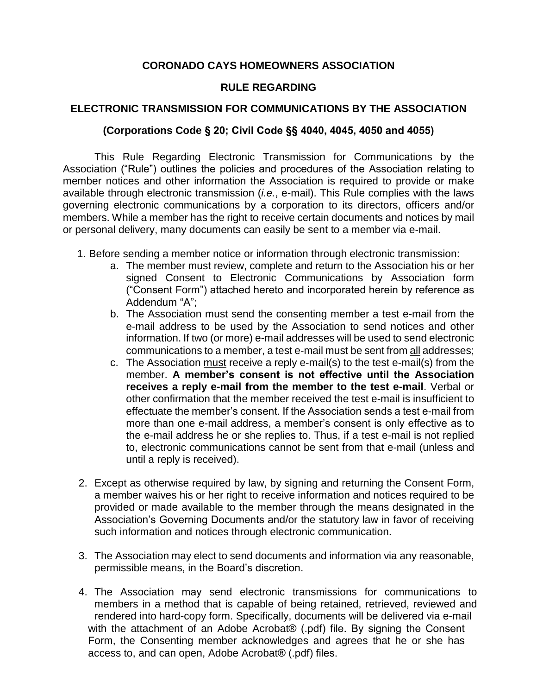### **CORONADO CAYS HOMEOWNERS ASSOCIATION**

### **RULE REGARDING**

### **ELECTRONIC TRANSMISSION FOR COMMUNICATIONS BY THE ASSOCIATION**

### **(Corporations Code ß 20; Civil Code ßß 4040, 4045, 4050 and 4055)**

This Rule Regarding Electronic Transmission for Communications by the Association ("Rule") outlines the policies and procedures of the Association relating to member notices and other information the Association is required to provide or make available through electronic transmission (*i.e.*, e-mail). This Rule complies with the laws governing electronic communications by a corporation to its directors, officers and/or members. While a member has the right to receive certain documents and notices by mail or personal delivery, many documents can easily be sent to a member via e-mail. ialable through electronic transmission (*i.e.*, e-mail). This Rule complies with the laws<br>verning electronic communications by a corporation to its directors, officers and/or<br>mbers. While a member has the right to receive electronic communications by a corporation to its directors, officers and/or<br>
While a member has the right to receive certain documents and notices by mail<br>
all delivery, many documents can easily be sent to a member via e

- 
- The member must review, complete and return to the Association his or her<br>signed Consent to Electronic Communications by Association form<br>("Consent Form") attached hereto and incorporated herein by reference as signed Consent to<br>("Consent Form") at<br>Addendum "A"; re sending a member notice or information through electronic transmission:<br>
a. The member must review, complete and return to the Association his or her<br>
signed Consent to Electronic Communications by Association form<br>
("C
	- e-mail address to be used by the Association to send notices and other information. If two (or more) e-mail addresses will be used to send electronic communications to a member, a test e-mail must be sent from all addresses; Addendum "A";<br>
	b. The Association must send the consenting member a test e-mail from the<br>
	e-mail address to be used by the Association to send notices and other<br>
	information. If two (or more) e-mail addresses will be used
	- **receives a reply e-mail from the member to the test e-mail**. Verbal or other confirmation that the member received the test e-mail is insufficient to effectuate the member's consent. If the Association sends a test e-mail other confirmation that the member received the test e-mail is insufficient to effectuate the member's consent. If the Association sends a test e-mail from<br>more than one e-mail address, a member's consent is only effective as to the e-mail address he or she replies to. Thus, if a test e-mail is not replied to, electronic communications cannot be sent from that e-mail (unless and until a reply is received).
- more than one e-mail address, a member's consent is only effective as to<br>the e-mail address he or she replies to. Thus, if a test e-mail is not replied<br>to, electronic communications cannot be sent from that e-mail (unless provided or made available to the member through the means designated in the 2. Except as otherwise required by law, by signing and returning the Consent Form, a member waives his or her right to receive information and notices required to be provided or made available to the member through the mea such information and notices through electronic communication.
- 3. The Association may elect to send documents and information via any reasonable, permissible means, in the Board's discretion.
- 4. The Association may send electronic transmissions for communications to members in a method that is capable of being retained, retrieved, reviewed and rendered into hard-copy form. Specifically, documents will be delivered via e-mail members in a method that is capable of being retained, retrieved, reviewed and rendered into hard-copy form. Specifically, documents will be delivered via e-mail with the attachment of an Adobe Acrobat® (.pdf) file. By sig Form, the Consenting member acknowledges and agrees that he or she has with the attachment of an Adobe Acrobat® (.pdf) file. By signing the Consent Form, the Consenting member acknowledges and agrees that he or she has access to, and can open, Adobe Acrobat® (.pdf) files.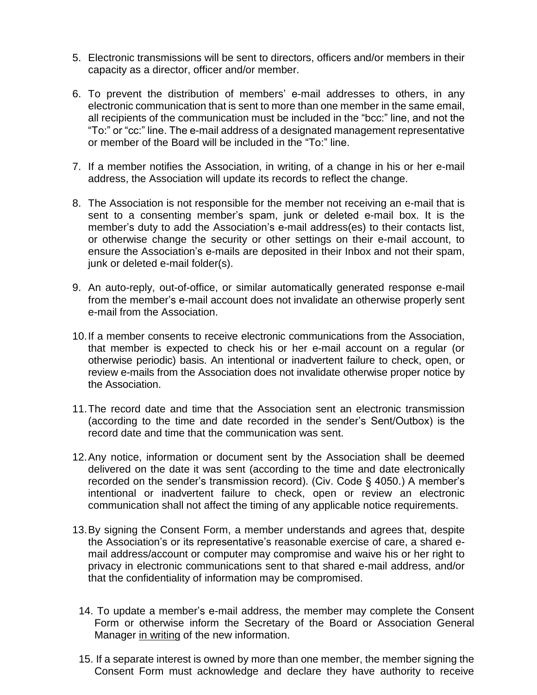- 5. Electronic transmissions will be sent to directors, officers and/or members in their capacity as a director, officer and/or member.
- 5. Electronic transmissions will be sent to directors, officers and/or members in their<br>capacity as a director, officer and/or member.<br>6. To prevent the distribution of members' e-mail addresses to others, in any<br>electroni To prevent the distribution of members' e-mail addresses to others, in any electronic communication that is sent to more than one member in the same email, all recipients of the communication must be included in the "bcc:" • electronic communication that is sent to more than one member in the same email, all recipients of the communication must be included in the "bcc." line, and not the "To:" or "cc." line. The e-mail address of a designate -mail address of a designated management representative all recipients of the communication must be included in the "b<br>"To:" or "cc:" line. The e-mail address of a designated manage<br>or member of the Board will be included in the "To:" line.
- address, the Association will update its records to reflect the change.
- or member of the Board will be included in the "To:" line.<br>
7. If a member notifies the Association, in writing, of a change in his or her e-mail<br>
address, the Association will update its records to reflect the change.<br>
8. The Association is not responsible for the member not receiving an e-mail that is<br>sent to a consenting member's spam, junk or deleted e-mail box. It is the<br>member's duty to add the Association's e-mail address(es) to their or otherwise change the security or other settings on their e-mail account, to ensure the Associationis e-mail address(es) to their contacts list,<br>or otherwise change the security or other settings on their e-mail account, to<br>ensure the Association's e-mails are deposited in their lnbox and not their junk or deleted e-mail folder(s).
- 9. An auto-reply, out-of-office, or similar automatically generated response e-mail from the member's e-mail account does not invalidate an otherwise properly sent e-mail from the Association.
- 10. If a member consents to receive electronic communications from the Association, that member is expected to check his or her e-mail account on a regular (or otherwise periodic) basis. An intentional or inadvertent failure to check, open, or review e-mails from the Association does not invalidate otherwise proper notice by the Association.
- 11. The record date and time that the Association sent an electronic transmission (according to the time and date recorded in the senderís Sent/Outbox) is the record date and time that the communication was sent.
- 12. Any notice, information or document sent by the Association shall be deemed delivered on the date it was sent (according to the time and date electronically recorded on the sender's transmission record). (Civ. Code § 4050.) A member's intentional or inadvertent failure to check, open or review an electronic communication shall not affect the timing of any applicable notice requirements.
- 13. By signing the Consent Form, a member understands and agrees that, despite the Association's or its representative's reasonable exercise of care, a shared email address/account or computer may compromise and waive his or her right to privacy in electronic communications sent to that shared e-mail address, and/or that the confidentiality of information may be compromised.<br>14. privacy in electronic communications sent to that shared e-mail address, and/or that the confidentiality of information may be compromised.
	- Form or otherwise inform the Secretary of the Board or Association General Manager in writing of the new information. 14. To update a member's e-mail address, the member may complete the Consent<br>Form or otherwise inform the Secretary of the Board or Association General<br>Manager in writing of the new information.<br>15. If a separate interest
	- Consent Form must acknowledge and declare they have authority to receive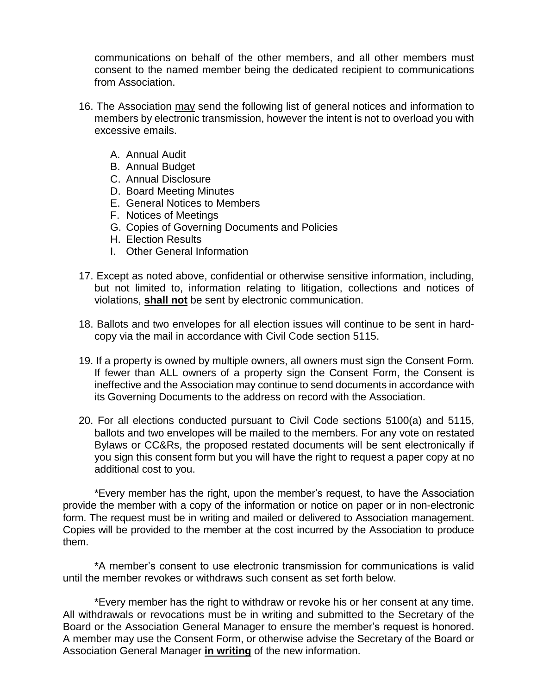communications on behalf of the other members, and all other members must consent to the named member being the dedicated recipient to communications from Association. 16. Communications on behalf of the other members, and all other members must<br>consent to the named member being the dedicated recipient to communications<br>from Association.<br>16. The Association may send the following list of

- members by electronic transmission, however the intent is not to overload you with excessive emails.
	- A. Annual Audit
	- B. Annual Budget
	- C. Annual Disclosure
	- D. Board Meeting Minutes
	- E. General Notices to Members
	- F. Notices of Meetings
	- G. Copies of Governing Documents and Policies
	- H. Election Results
	- I. Other General Information
- F. Notices of Meetings<br>
G. Copies of Governing Documents and Policies<br>
H. Election Results<br>
I. Other General Information<br>
17. Except as noted above, confidential or otherwise sensitive information, including,<br>
but not limi violations, **shall not** be sent by electronic communication. 17. Except as noted above, confidential or otherwise sensitive information, including,<br>but not limited to, information relating to litigation, collections and notices of<br>violations, **shall not** be sent by electronic commun
- copy via the mail in accordance with Civil Code section 5115.
- violations, **shall not** be sent by electronic communication.<br>
18. Ballots and two envelopes for all election issues will continue to be sent in hard-<br>
copy via the mail in accordance with Civil Code section 5115.<br>
19. If a If fewer than ALL owners of a property sign the Consent Form, the Consent is ineffective and the Association may continue to send documents in accordance with its Governing Documents to the address on record with the Association. 19. If a property is owned by multiple owners, all owners must sign the Consent Form.<br>
If fewer than ALL owners of a property sign the Consent Form, the Consent is<br>
ineffective and the Association may continue to send docu
- Bylaws or CC&Rs, the proposed restated documents will be sent electronically if you sign this consent form but you will have the right to request a paper copy at no additional cost to you.

\*Every member has the right, upon the memberís request, to have the Association provide the member with a copy of the information or notice on paper or in non-electronic form. The request must be in writing and mailed or delivered to Association management. Copies will be provided to the member at the cost incurred by the Association to produce them.

\*A memberís consent to use electronic transmission for communications is valid until the member revokes or withdraws such consent as set forth below.

\*Every member has the right to withdraw or revoke his or her consent at any time. All withdrawals or revocations must be in writing and submitted to the Secretary of the \*Every member has the right to withdraw or revoke his or her consent at any time.<br>All withdrawals or revocations must be in writing and submitted to the Secretary of the<br>Board or the Association General Manager to ensure t A member may use the Consent Form, or otherwise advise the Secretary of the Board or Association General Manager **in writing** of the new information.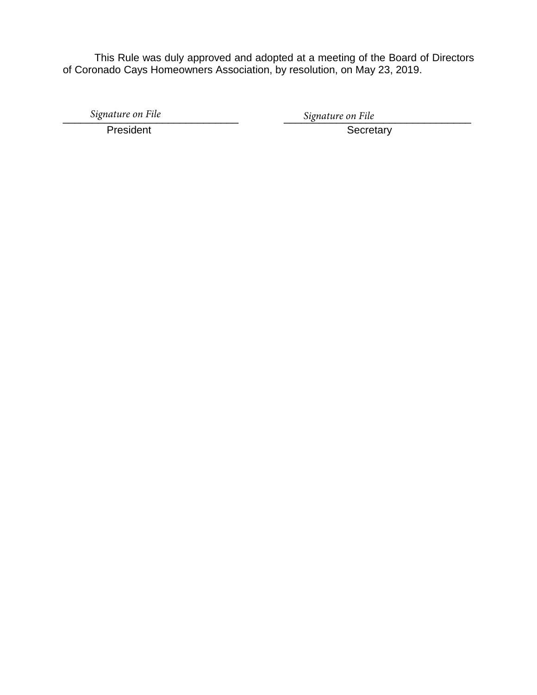This Rule was duly approved and adopted at a meeting of the Board of Directors of Coronado Cays Homeowners Association, by resolution, on May 23, 2019.

President **Secretary** 

\_\_\_\_\_\_\_\_\_\_\_\_\_\_\_\_\_\_\_\_\_\_\_\_\_\_\_\_\_\_ \_\_\_\_\_\_\_\_\_\_\_\_\_\_\_\_\_\_\_\_\_\_\_\_\_\_\_\_\_\_\_\_ *Signature on File Signature on File*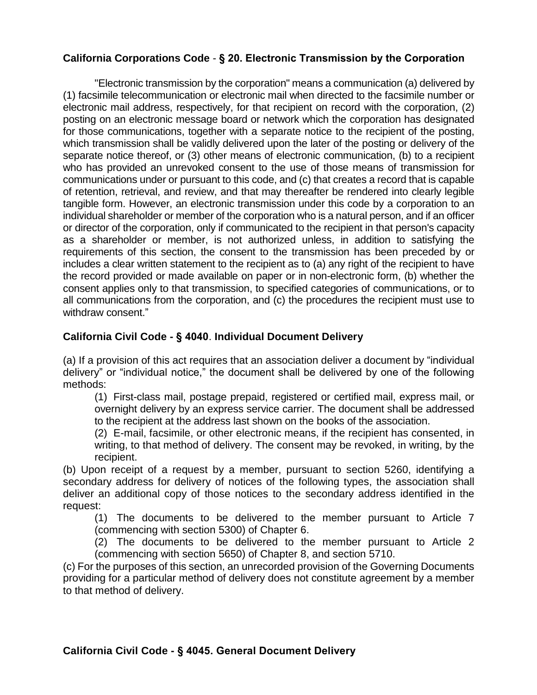### **California Corporations Code** - **<sup>ß</sup> 20. Electronic Transmission by the Corporation**

"Electronic transmission by the corporation" means a communication (a) delivered by (1) facsimile telecommunication or electronic mailwhen directed to the facsimile number or electronic mail address, respectively, for that recipient on record with the corporation, (2) posting on an electronic message board or network which the corporation has designated for those communications, together with a separate notice to the recipient of the posting, which transmission shall be validly delivered upon the later of the posting or delivery of the separate notice thereof, or (3) other means of electronic communication, (b) to a recipient who has provided an unrevoked consent to the use of those means of transmission for communications under or pursuant to this code, and (c) that creates a record that is capable of retention, retrieval, and review, and that may thereafter be rendered into clearly legible tangible form. However, an electronic transmission under this code by a corporation to an individual shareholder or member of the corporation who is a natural person, and if an officer or director of the corporation, only if communicated to the recipient in that person's capacity as a shareholder or member, is not authorized unless, in addition to satisfying the requirements of this section, the consent to the transmission has been preceded by or includes a clear written statement to the recipient as to (a) any right of the recipient to have the record provided or made available on paper or in non-electronic form, (b) whether the consent applies only to that transmission, to specified categories of communications, or to all communications from the corporation, and (c) the procedures the recipient must use to consent applies only to t<br>all communications from<br>withdraw consent."

# **California Civil Code - <sup>ß</sup> <sup>4040</sup>**. **Individual Document Delivery**

(a) If a provision of this act requires that an association deliver a document by "individual delivery" or "individual notice," the document shall be delivered by one of the following methods:

(1) First-class mail, postage prepaid, registered or certified mail, express mail, or overnight delivery by an express service carrier. The document shall be addressed to the recipient at the address last shown on the books of the association.

(2) E-mail, facsimile, or other electronic means, if the recipient has consented, in writing, to that method of delivery. The consent may be revoked, in writing, by the recipient.

(b) Upon receipt of a request by a member, pursuant to section 5260, identifying a secondary address for delivery of notices of the following types, the association shall deliver an additional copy of those notices to the secondary address identified in the request:

(1) The documents to be delivered to the member pursuant to Article 7 (commencing with section 5300) of Chapter 6.

(2) The documents to be delivered to the member pursuant to Article 2 (commencing with section 5650) of Chapter 8, and section 5710.

(c) For the purposes of this section, an unrecorded provision of the Governing Documents providing for a particular method of delivery does not constitute agreement by a member to that method of delivery.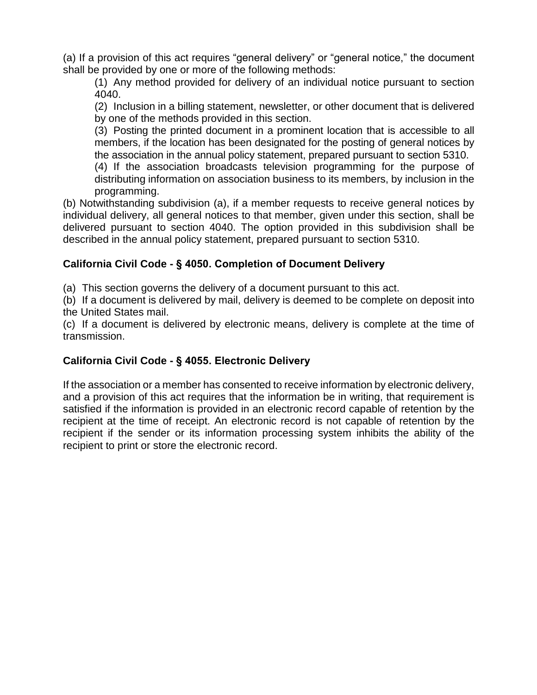(a) If a provision of this act requires "general delivery" or "general notice," the document shall be provided by one or more of the following methods:

(1) Any method provided for delivery of an individual notice pursuant to section 4040.

(2) Inclusion in a billing statement, newsletter, or other document that is delivered by one of the methods provided in this section.

(3) Posting the printed document in a prominent location that is accessible to all members, if the location has been designated for the posting of general notices by the association in the annual policy statement, prepared pursuant to section 5310.

(4) If the association broadcasts television programming for the purpose of distributing information on association business to its members, by inclusion in the programming.

(b) Notwithstanding subdivision (a), if a member requests to receive general notices by individual delivery, all general notices to that member, given under this section, shall be delivered pursuant to section 4040. The option provided in this subdivision shall be described in the annual policy statement, prepared pursuant to section 5310. **California Civil Code - <sup>ß</sup> 4050. Completion of Document Delivery**

(a) This section governs the delivery of a document pursuant to this act.

(b) If a document is delivered by mail, delivery is deemed to be complete on deposit into the United States mail.

(c) If a document is delivered by electronic means, delivery is complete at the time of transmission.

### **California Civil Code - <sup>ß</sup> 4055. Electronic Delivery**

If the association or a member has consented to receive information by electronic delivery, and a provision of this act requires that the information be in writing, that requirement is satisfied if the information is provided in an electronic record capable of retention by the recipient at the time of receipt. An electronic record is not capable of retention by the recipient if the sender or its information processing system inhibits the ability of the recipient to print or store the electronic record.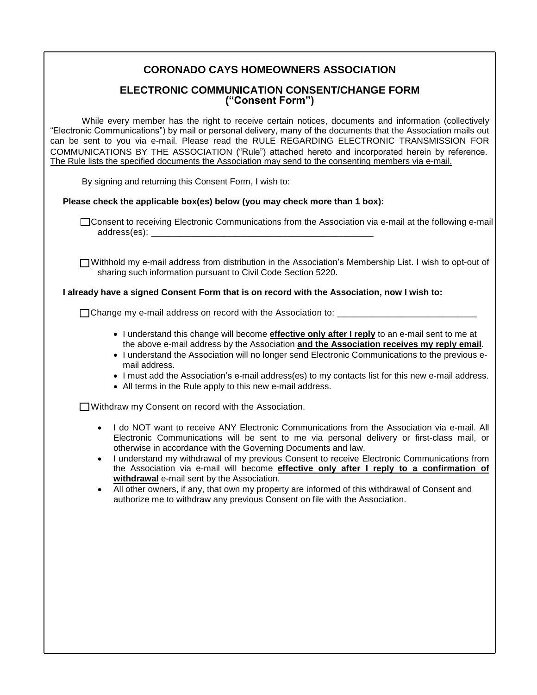### **CORONADO CAYS HOMEOWNERS ASSOCIATION**

## **ELECTRONIC COMMUNICATION CONSENT/CHANGE FORM**  YS HOMEOWNERS AS:<br>UNICATION CONSENT/<br>("Consent Form")  $\sum_{i=1}^{n}$

While every member has the right to receive certain notices, documents and information (collectively "Electronic Communications") by mail or personal delivery, many of the documents that the Association mails out<br>can be sent to you via e-mail. Please read the RULE REGARDING ELECTRONIC TRANSMISSION FOR<br>COMMUNICATIONS BY TH can be sent to you via e-mail. Please read the RULE REGARDING ELECTRONIC TRANSMISSION FOR The Rule lists the specified documents the Association may send to the consenting members via e-mail.

By signing and returning this Consent Form, I wish to:

### **Please check the applicable box(es) below (you may check more than 1 box):**

 Consent to receiving Electronic Communications from the Association via e-mail at the following e-mail address(es): \_\_\_\_\_\_\_\_\_\_\_\_\_\_\_\_\_\_\_\_\_\_\_\_\_\_\_\_\_\_\_\_\_\_\_\_\_\_\_\_\_\_\_\_

 Withhold my e-mail address from distribution in the Associationís Membership List. I wish to opt-out of sharing such information pursuant to Civil Code Section 5220.

### **I already have a signed Consent Form that is on record with the Association, now I wish to:**

Change my e-mail address on record with the Association to: \_\_\_\_\_\_\_\_\_\_\_\_\_\_\_\_\_\_\_\_

- **I understand this change will become effective only after I reply to an e-mail sent to me at** the above e-mail address by the Association **and the Association receives my reply email**.
- I understand the Association will no longer send Electronic Communications to the previous e-mail address. mail address.<br>I must add the Association's e-mail address(es) to my contacts list for this new e-mail address.
- 
- All terms in the Rule apply to this new e-mail address.

Withdraw my Consent on record with the Association.

- I do NOT want to receive ANY Electronic Communications from the Association via e-mail. All Electronic Communications will be sent to me via personal delivery or first-class mail, or otherwise in accordance with the Governing Documents and law.
- I understand my withdrawal of my previous Consent to receive Electronic Communications from the Association via e-mail will become **effective only after I reply to a confirmation of withdrawal** e-mail sent by the Association.
- All other owners, if any, that own my property are informed of this withdrawal of Consent and authorize me to withdraw any previous Consent on file with the Association.